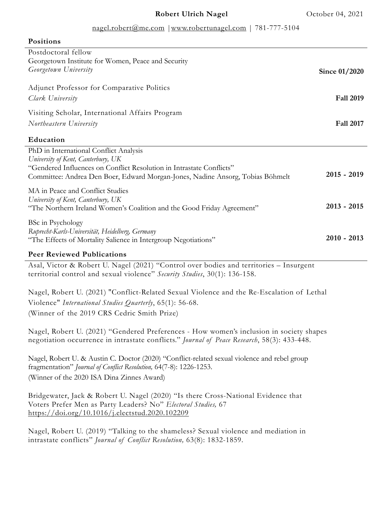### nagel.robert@me.com |www.robertunagel.com | 781-777-5104

| r oəftiatia                                                                    |                  |
|--------------------------------------------------------------------------------|------------------|
| Postdoctoral fellow                                                            |                  |
| Georgetown Institute for Women, Peace and Security                             |                  |
| Georgetown University                                                          | Since 01/2020    |
|                                                                                |                  |
| Adjunct Professor for Comparative Politics                                     |                  |
| Clark University                                                               | <b>Fall 2019</b> |
| Visiting Scholar, International Affairs Program                                |                  |
|                                                                                |                  |
| Northeastern University                                                        | <b>Fall 2017</b> |
| Education                                                                      |                  |
| PhD in International Conflict Analysis                                         |                  |
| University of Kent, Canterbury, UK                                             |                  |
| "Gendered Influences on Conflict Resolution in Intrastate Conflicts"           |                  |
| Committee: Andrea Den Boer, Edward Morgan-Jones, Nadine Ansorg, Tobias Böhmelt | $2015 - 2019$    |
| MA in Peace and Conflict Studies                                               |                  |
| University of Kent, Canterbury, UK                                             |                  |
| "The Northern Ireland Women's Coalition and the Good Friday Agreement"         | $2013 - 2015$    |
|                                                                                |                  |
| <b>BSc in Psychology</b>                                                       |                  |
| Ruprecht-Karls-Universität, Heidelberg, Germany                                | $2010 - 2013$    |
| "The Effects of Mortality Salience in Intergroup Negotiations"                 |                  |
| <b>Peer Reviewed Publications</b>                                              |                  |

Asal, Victor & Robert U. Nagel (2021) "Control over bodies and territories – Insurgent

**Positions**

territorial control and sexual violence" *Security Studies*, 30(1): 136-158. Nagel, Robert U. (2021) "Conflict-Related Sexual Violence and the Re-Escalation of Lethal

Violence" *International Studies Quarterly*, 65(1): 56-68. (Winner of the 2019 CRS Cedric Smith Prize)

Nagel, Robert U. (2021) "Gendered Preferences - How women's inclusion in society shapes negotiation occurrence in intrastate conflicts." *Journal of Peace Research*, 58(3): 433-448.

Nagel, Robert U. & Austin C. Doctor (2020) "Conflict-related sexual violence and rebel group fragmentation" *Journal of Conflict Resolution,* 64(7-8): 1226-1253. (Winner of the 2020 ISA Dina Zinnes Award)

Bridgewater, Jack & Robert U. Nagel (2020) "Is there Cross-National Evidence that Voters Prefer Men as Party Leaders? No" *Electoral Studies,* 67 https://doi.org/10.1016/j.electstud.2020.102209

Nagel, Robert U. (2019) "Talking to the shameless? Sexual violence and mediation in intrastate conflicts" *Journal of Conflict Resolution,* 63(8): 1832-1859.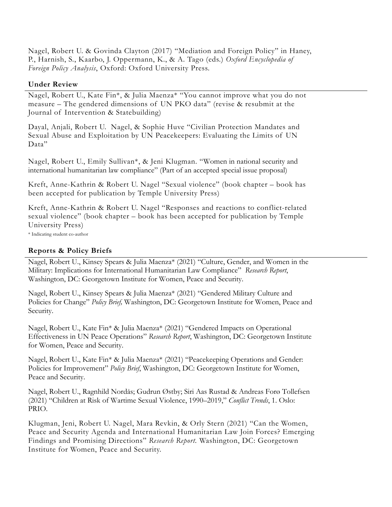Nagel, Robert U. & Govinda Clayton (2017) "Mediation and Foreign Policy" in Haney, P., Harnish, S., Kaarbo, J. Oppermann, K., & A. Tago (eds.) *Oxford Encyclopedia of Foreign Policy Analysis*, Oxford: Oxford University Press.

### **Under Review**

Nagel, Robert U., Kate Fin\*, & Julia Maenza\* "You cannot improve what you do not measure – The gendered dimensions of UN PKO data" (revise & resubmit at the Journal of Intervention & Statebuilding)

Dayal, Anjali, Robert U. Nagel, & Sophie Huve "Civilian Protection Mandates and Sexual Abuse and Exploitation by UN Peacekeepers: Evaluating the Limits of UN Data"

Nagel, Robert U., Emily Sullivan\*, & Jeni Klugman. "Women in national security and international humanitarian law compliance" (Part of an accepted special issue proposal)

Kreft, Anne-Kathrin & Robert U. Nagel "Sexual violence" (book chapter – book has been accepted for publication by Temple University Press)

Kreft, Anne-Kathrin & Robert U. Nagel "Responses and reactions to conflict-related sexual violence" (book chapter – book has been accepted for publication by Temple University Press)

\* Indicating student co-author

## **Reports & Policy Briefs**

Nagel, Robert U., Kinsey Spears & Julia Maenza\* (2021) "Culture, Gender, and Women in the Military: Implications for International Humanitarian Law Compliance" *Research Report*, Washington, DC: Georgetown Institute for Women, Peace and Security.

Nagel, Robert U., Kinsey Spears & Julia Maenza\* (2021) "Gendered Military Culture and Policies for Change" *Policy Brief,* Washington, DC: Georgetown Institute for Women, Peace and Security.

Nagel, Robert U., Kate Fin\* & Julia Maenza\* (2021) "Gendered Impacts on Operational Effectiveness in UN Peace Operations" *Research Report*, Washington, DC: Georgetown Institute for Women, Peace and Security.

Nagel, Robert U., Kate Fin\* & Julia Maenza\* (2021) "Peacekeeping Operations and Gender: Policies for Improvement" *Policy Brief*, Washington, DC: Georgetown Institute for Women, Peace and Security.

Nagel, Robert U., Ragnhild Nordås; Gudrun Østby; Siri Aas Rustad & Andreas Forø Tollefsen (2021) "Children at Risk of Wartime Sexual Violence, 1990–2019," *Conflict Trends*, 1. Oslo: PRIO.

Klugman, Jeni, Robert U. Nagel, Mara Revkin, & Orly Stern (2021) "Can the Women, Peace and Security Agenda and International Humanitarian Law Join Forces? Emerging Findings and Promising Directions" *Research Report.* Washington, DC: Georgetown Institute for Women, Peace and Security.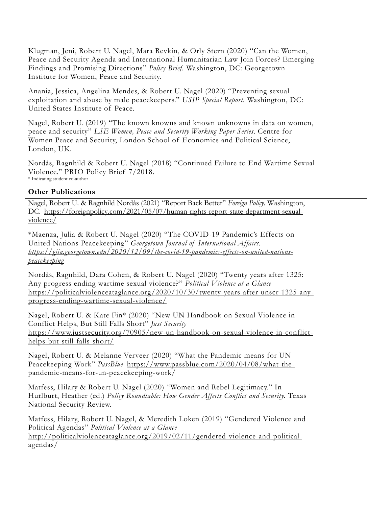Klugman, Jeni, Robert U. Nagel, Mara Revkin, & Orly Stern (2020) "Can the Women, Peace and Security Agenda and International Humanitarian Law Join Forces? Emerging Findings and Promising Directions" *Policy Brief.* Washington, DC: Georgetown Institute for Women, Peace and Security.

Anania, Jessica, Angelina Mendes, & Robert U. Nagel (2020) "Preventing sexual exploitation and abuse by male peacekeepers." *USIP Special Report.* Washington, DC: United States Institute of Peace.

Nagel, Robert U. (2019) "The known knowns and known unknowns in data on women, peace and security" *LSE Women, Peace and Security Working Paper Series*. Centre for Women Peace and Security, London School of Economics and Political Science, London, UK.

Nordås, Ragnhild & Robert U. Nagel (2018) "Continued Failure to End Wartime Sexual Violence." PRIO Policy Brief 7/2018. \* Indicating student co-author

## **Other Publications**

Nagel, Robert U. & Ragnhild Nordås (2021) "Report Back Better" *Foreign Policy.* Washington, DC. https://foreignpolicy.com/2021/05/07/human-rights-report-state-department-sexualviolence/

\*Maenza, Julia & Robert U. Nagel (2020) "The COVID-19 Pandemic's Effects on United Nations Peacekeeping" *Georgetown Journal of International Affairs. https://gjia.georgetown.edu/2020/12/09/the-covid-19-pandemics-effects-on-united-nationspeacekeeping*

Nordås, Ragnhild, Dara Cohen, & Robert U. Nagel (2020) "Twenty years after 1325: Any progress ending wartime sexual violence?" *Political Violence at a Glance* https://politicalviolenceataglance.org/2020/10/30/twenty-years-after-unscr-1325-anyprogress-ending-wartime-sexual-violence/

Nagel, Robert U. & Kate Fin\* (2020) "New UN Handbook on Sexual Violence in Conflict Helps, But Still Falls Short" *Just Security* https://www.justsecurity.org/70905/new-un-handbook-on-sexual-violence-in-conflicthelps-but-still-falls-short/

Nagel, Robert U. & Melanne Verveer (2020) "What the Pandemic means for UN Peacekeeping Work" *PassBlue* https://www.passblue.com/2020/04/08/what-thepandemic-means-for-un-peacekeeping-work/

Matfess, Hilary & Robert U. Nagel (2020) "Women and Rebel Legitimacy." In Hurlburt, Heather (ed.) *Policy Roundtable: How Gender Affects Conflict and Security*. Texas National Security Review.

Matfess, Hilary, Robert U. Nagel, & Meredith Loken (2019) "Gendered Violence and Political Agendas" *Political Violence at a Glance*  http://politicalviolenceataglance.org/2019/02/11/gendered-violence-and-politicalagendas/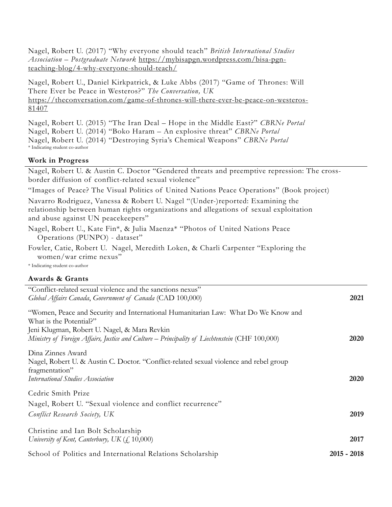Nagel, Robert U. (2017) "Why everyone should teach" *British International Studies Association – Postgraduate Network* https://mybisapgn.wordpress.com/bisa-pgnteaching-blog/4-why-everyone-should-teach/

Nagel, Robert U., Daniel Kirkpatrick, & Luke Abbs (2017) "Game of Thrones: Will There Ever be Peace in Westeros?" *The Conversation, UK* https://theconversation.com/game-of-thrones-will-there-ever-be-peace-on-westeros-81407

Nagel, Robert U. (2015) "The Iran Deal – Hope in the Middle East?" *CBRNe Portal* Nagel, Robert U. (2014) "Boko Haram – An explosive threat" *CBRNe Portal* Nagel, Robert U. (2014) "Destroying Syria's Chemical Weapons" *CBRNe Portal* \* Indicating student co-author

### **Work in Progress**

Nagel, Robert U. & Austin C. Doctor "Gendered threats and preemptive repression: The crossborder diffusion of conflict-related sexual violence"

"Images of Peace? The Visual Politics of United Nations Peace Operations" (Book project)

Navarro Rodriguez, Vanessa & Robert U. Nagel "(Under-)reported: Examining the relationship between human rights organizations and allegations of sexual exploitation and abuse against UN peacekeepers"

Nagel, Robert U., Kate Fin\*, & Julia Maenza\* "Photos of United Nations Peace Operations (PUNPO) - dataset"

Fowler, Catie, Robert U. Nagel, Meredith Loken, & Charli Carpenter "Exploring the women/war crime nexus"

\* Indicating student co-author

#### **Awards & Grants**

| "Conflict-related sexual violence and the sanctions nexus"                                                    |               |
|---------------------------------------------------------------------------------------------------------------|---------------|
| Global Affairs Canada, Government of Canada (CAD 100,000)                                                     | 2021          |
| "Women, Peace and Security and International Humanitarian Law: What Do We Know and<br>What is the Potential?" |               |
| Jeni Klugman, Robert U. Nagel, & Mara Revkin                                                                  |               |
| Ministry of Foreign Affairs, Justice and Culture - Principality of Liechtenstein (CHF 100,000)                | 2020          |
| Dina Zinnes Award                                                                                             |               |
| Nagel, Robert U. & Austin C. Doctor. "Conflict-related sexual violence and rebel group                        |               |
| fragmentation"                                                                                                |               |
| International Studies Association                                                                             | <b>2020</b>   |
| Cedric Smith Prize                                                                                            |               |
|                                                                                                               |               |
| Nagel, Robert U. "Sexual violence and conflict recurrence"                                                    |               |
| Conflict Research Society, UK                                                                                 | 2019          |
| Christine and Ian Bolt Scholarship                                                                            |               |
| University of Kent, Canterbury, UK $(f, 10,000)$                                                              | 2017          |
|                                                                                                               |               |
| School of Politics and International Relations Scholarship                                                    | $2015 - 2018$ |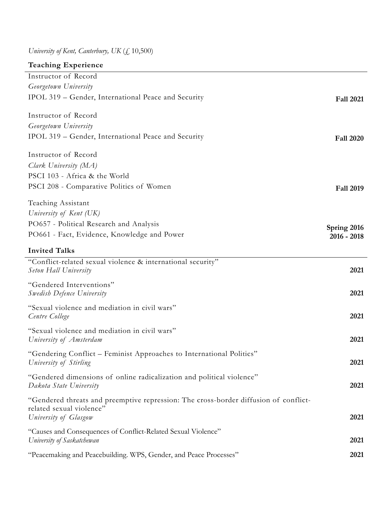*University of Kent, Canterbury, UK* (£ 10,500)

| <b>Teaching Experience</b>                                                           |                  |
|--------------------------------------------------------------------------------------|------------------|
| Instructor of Record                                                                 |                  |
| Georgetown University                                                                |                  |
| IPOL 319 – Gender, International Peace and Security                                  | <b>Fall 2021</b> |
|                                                                                      |                  |
| Instructor of Record                                                                 |                  |
| Georgetown University                                                                |                  |
| IPOL 319 – Gender, International Peace and Security                                  | <b>Fall 2020</b> |
| Instructor of Record                                                                 |                  |
| Clark University (MA)                                                                |                  |
| PSCI 103 - Africa & the World                                                        |                  |
| PSCI 208 - Comparative Politics of Women                                             | <b>Fall 2019</b> |
|                                                                                      |                  |
| Teaching Assistant                                                                   |                  |
| University of Kent (UK)                                                              |                  |
| PO657 - Political Research and Analysis                                              | Spring 2016      |
| PO661 - Fact, Evidence, Knowledge and Power                                          | $2016 - 2018$    |
| <b>Invited Talks</b>                                                                 |                  |
| "Conflict-related sexual violence & international security"                          |                  |
| <b>Seton Hall University</b>                                                         | 2021             |
| "Gendered Interventions"                                                             |                  |
| Swedish Defence University                                                           | 2021             |
| "Sexual violence and mediation in civil wars"                                        |                  |
| Centre College                                                                       | 2021             |
| "Sexual violence and mediation in civil wars"                                        |                  |
| University of Amsterdam                                                              | 2021             |
|                                                                                      |                  |
| "Gendering Conflict – Feminist Approaches to International Politics"                 | 2021             |
| University of Stirling                                                               |                  |
| "Gendered dimensions of online radicalization and political violence"                |                  |
| Dakota State University                                                              | 2021             |
| "Gendered threats and preemptive repression: The cross-border diffusion of conflict- |                  |
| related sexual violence"                                                             |                  |
| University of Glasgow                                                                | 2021             |
| "Causes and Consequences of Conflict-Related Sexual Violence"                        |                  |
| University of Saskatchewan                                                           | 2021             |
| "Peacemaking and Peacebuilding. WPS, Gender, and Peace Processes"                    | 2021             |
|                                                                                      |                  |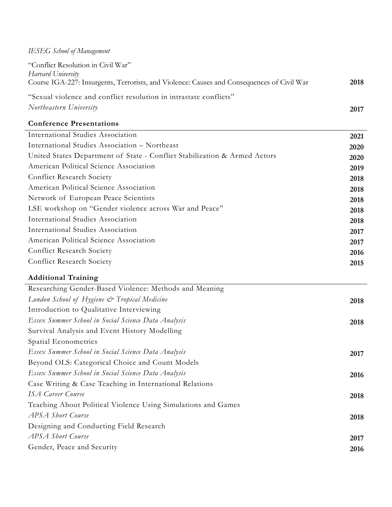# *IESEG School of Management*

| "Conflict Resolution in Civil War"                                                         |      |
|--------------------------------------------------------------------------------------------|------|
| Harvard University                                                                         |      |
| Course IGA-227: Insurgents, Terrorists, and Violence: Causes and Consequences of Civil War | 2018 |
| "Sexual violence and conflict resolution in intrastate conflicts"                          |      |
| Northeastern University                                                                    | 2017 |
| <b>Conference Presentations</b>                                                            |      |
| International Studies Association                                                          | 2021 |
| International Studies Association - Northeast                                              | 2020 |
| United States Department of State - Conflict Stabilization & Armed Actors                  | 2020 |
| American Political Science Association                                                     | 2019 |
| Conflict Research Society                                                                  | 2018 |
| American Political Science Association                                                     | 2018 |
| Network of European Peace Scientists                                                       | 2018 |
| LSE workshop on "Gender violence across War and Peace"                                     | 2018 |
| International Studies Association                                                          | 2018 |
| International Studies Association                                                          | 2017 |
| American Political Science Association                                                     | 2017 |

| <b>Conflict Research Society</b> | 2016 |
|----------------------------------|------|
| <b>Conflict Research Society</b> | 2015 |

# **Additional Training**

| Researching Gender-Based Violence: Methods and Meaning        |      |
|---------------------------------------------------------------|------|
| London School of Hygiene & Tropical Medicine                  | 2018 |
| Introduction to Qualitative Interviewing                      |      |
| Essex Summer School in Social Science Data Analysis           | 2018 |
| Survival Analysis and Event History Modelling                 |      |
| Spatial Econometrics                                          |      |
| Essex Summer School in Social Science Data Analysis           | 2017 |
| Beyond OLS: Categorical Choice and Count Models               |      |
| Essex Summer School in Social Science Data Analysis           | 2016 |
| Case Writing & Case Teaching in International Relations       |      |
| <b>ISA Career Course</b>                                      | 2018 |
| Teaching About Political Violence Using Simulations and Games |      |
| <b>APSA</b> Short Course                                      | 2018 |
| Designing and Conducting Field Research                       |      |
| APSA Short Course                                             | 2017 |
| Gender, Peace and Security                                    | 2016 |
|                                                               |      |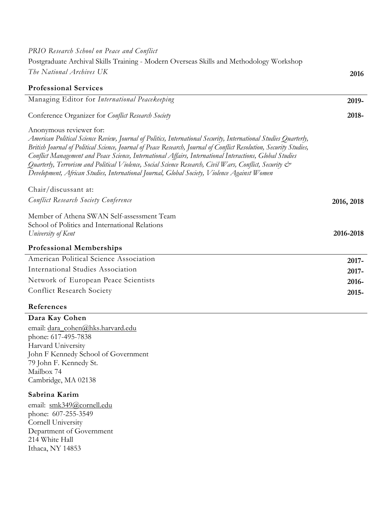| PRIO Research School on Peace and Conflict                                                                                                                                                                                                                                                                                                                                                                                                                                                                                                                                                           |            |
|------------------------------------------------------------------------------------------------------------------------------------------------------------------------------------------------------------------------------------------------------------------------------------------------------------------------------------------------------------------------------------------------------------------------------------------------------------------------------------------------------------------------------------------------------------------------------------------------------|------------|
| Postgraduate Archival Skills Training - Modern Overseas Skills and Methodology Workshop                                                                                                                                                                                                                                                                                                                                                                                                                                                                                                              |            |
| The National Archives UK                                                                                                                                                                                                                                                                                                                                                                                                                                                                                                                                                                             | 2016       |
| <b>Professional Services</b>                                                                                                                                                                                                                                                                                                                                                                                                                                                                                                                                                                         |            |
| Managing Editor for International Peacekeeping                                                                                                                                                                                                                                                                                                                                                                                                                                                                                                                                                       | 2019-      |
| Conference Organizer for Conflict Research Society                                                                                                                                                                                                                                                                                                                                                                                                                                                                                                                                                   | 2018-      |
| Anonymous reviewer for:<br>American Political Science Review, Journal of Politics, International Security, International Studies Quarterly,<br>British Journal of Political Science, Journal of Peace Research, Journal of Conflict Resolution, Security Studies,<br>Conflict Management and Peace Science, International Affairs, International Interactions, Global Studies<br>Quarterly, Terrorism and Political Violence, Social Science Research, Civil Wars, Conflict, Security $\mathcal{C}^*$<br>Development, African Studies, International Journal, Global Society, Violence Against Women |            |
| Chair/discussant at:                                                                                                                                                                                                                                                                                                                                                                                                                                                                                                                                                                                 |            |
| Conflict Research Society Conference                                                                                                                                                                                                                                                                                                                                                                                                                                                                                                                                                                 | 2016, 2018 |
| Member of Athena SWAN Self-assessment Team<br>School of Politics and International Relations<br>University of Kent                                                                                                                                                                                                                                                                                                                                                                                                                                                                                   | 2016-2018  |
| <b>Professional Memberships</b>                                                                                                                                                                                                                                                                                                                                                                                                                                                                                                                                                                      |            |
| American Political Science Association                                                                                                                                                                                                                                                                                                                                                                                                                                                                                                                                                               | $2017 -$   |
| International Studies Association                                                                                                                                                                                                                                                                                                                                                                                                                                                                                                                                                                    | 2017-      |
| Network of European Peace Scientists                                                                                                                                                                                                                                                                                                                                                                                                                                                                                                                                                                 | 2016-      |
| Conflict Research Society                                                                                                                                                                                                                                                                                                                                                                                                                                                                                                                                                                            | 2015-      |
| References                                                                                                                                                                                                                                                                                                                                                                                                                                                                                                                                                                                           |            |

# **Dara Kay Cohen**

email: dara\_cohen@hks.harvard.edu phone: 617-495-7838 Harvard University John F Kennedy School of Government 79 John F. Kennedy St. Mailbox 74 Cambridge, MA 02138

### **Sabrina Karim**

email: smk349@cornell.edu phone: 607-255-3549 Cornell University Department of Government 214 White Hall Ithaca, NY 14853